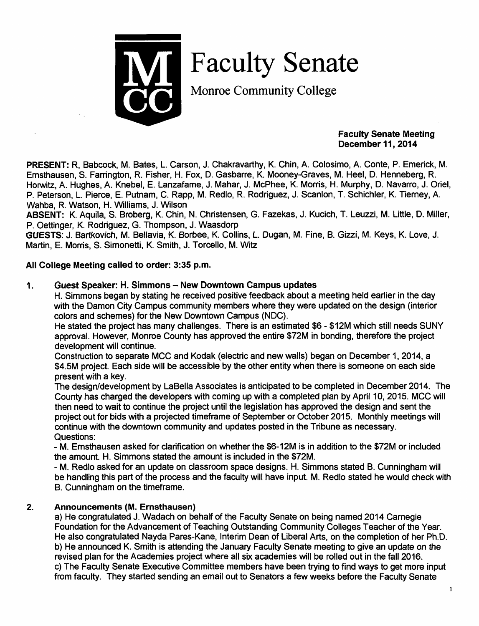

Faculty Senate

Monroe Community College

#### *Faculty Senate Meeting December 11, 2014*

*PRESENT:* R, Babcock, M. Bates, L. Carson, J. Chakravarthy, K. Chin, A. Colosimo, A. Conte, P. Emerick, M. Ernsthausen, S. Farrington, R. Fisher, H. Fox, D. Gasbarre, K. Mooney-Graves, M. Heel, D. Henneberg, R. Horwitz, A. Hughes, A. Knebel, E. Lanzafame, J. Mahar, J. McPhee, K. Morris, H. Murphy, D. Navarro, J. Oriel, P. Peterson, L. Pierce, E. Putnam, C. Rapp, M. Redlo, R. Rodriguez, J. Scanlon, T. Schichler, K. Tierney, A. Wahba, R. Watson, H. Williams, J. Wilson

*ABSENT:* K. Aquila, S. Broberg, K. Chin, N. Christensen, G. Fazekas, J. Kucich, T. Leuzzi, M. Little, D. Miller, P. Oettinger, K. Rodriguez, G. Thompson, J. Waasdorp

GUESTS: J. Bartkovich, M. Bellavia, K. Borbee, K. Collins, L. Dugan, M. Fine, B. Gizzi, M. Keys, K. Love, J. Martin, E. Morris, S. Simonetti, K. Smith, J. Torcello, M. Witz

# *All College Meeting called to order: 3:35 p.m.*

## *1. Guest Speaker: H. Simmons - New Downtown Campus updates*

H. Simmons began by stating he received positive feedback about a meeting held earlier in the day with the Damon City Campus community members where they were updated on the design (interior colors and schemes) for the New Downtown Campus (NDC).

He stated the project has many challenges. There is an estimated \$6 - \$12M which still needs SUNY approval. However, Monroe County has approved the entire \$72M in bonding, therefore the project development will continue.

Construction to separate MCC and Kodak (electric and new walls) began on December 1, 2014, a \$4.5M project. Each side will be accessible by the other entity when there is someone on each side present with a key.

The design/development by LaBella Associates is anticipated to be completed in December 2014. The County has charged the developers with coming up with a completed plan by April 10, 2015. MCC will then need to wait to continue the project until the legislation has approved the design and sent the project out for bids with a projected timeframe of September or October 2015. Monthly meetings will continue with the downtown community and updates posted in the Tribune as necessary. Questions:

- M. Ernsthausen asked for clarification on whether the \$6-12M is in addition to the \$72M or included the amount. H. Simmons stated the amount is included in the \$72M.

- M. Redlo asked for an update on classroom space designs. H. Simmons stated B. Cunningham will be handling this part of the process and the faculty will have input. M. Redlo stated he would check with B. Cunningham on the timeframe.

# *2. Announcements (M. Ernsthausen)*

a) He congratulated J. Wadach on behalf of the Faculty Senate on being named 2014 Carnegie Foundation for the Advancement of Teaching Outstanding Community Colleges Teacher of the Year. He also congratulated Nayda Pares-Kane, Interim Dean of Liberal Arts, on the completion of her Ph.D. b) He announced K. Smith is attending the January Faculty Senate meeting to give an update on the revised plan for the Academies project where all six academies will be rolled out in the fall 2016. c) The Faculty Senate Executive Committee members have been trying to find ways to get more input from faculty. They started sending an email out to Senators a few weeks before the Faculty Senate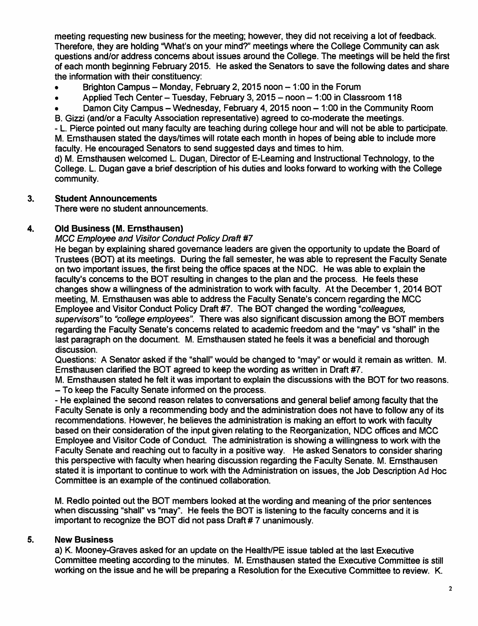meeting requesting new business for the meeting; however, they did not receiving a lot of feedback. Therefore, they are holding "What's on your mind?" meetings where the College Community can ask questions and/or address concerns about issues around the College. The meetings will be held the first of each month beginning February 2015. He asked the Senators to save the following dates and share the information with their constituency:

- Brighton Campus Monday, February 2, 2015 noon  $-1:00$  in the Forum
- Applied Tech Center Tuesday, February 3, 2015 noon 1:00 in Classroom 118
- Damon City Campus Wednesday, February 4, 2015 noon 1:00 in the Community Room
- B. Gizzi (and/or a Faculty Association representative) agreed to co-moderate the meetings.

- L. Pierce pointed out many faculty are teaching during college hour and will not be able to participate. M. Ernsthausen stated the days/times will rotate each month in hopes of being able to include more faculty. He encouraged Senators to send suggested days and times to him.

d) M. Ernsthausen welcomed L. Dugan, Director of E-Learning and Instructional Technology, to the College. L. Dugan gave a brief description of his duties and looks forward to working with the College community.

## *3. Student Announcements*

There were no student announcements.

## *4. Old Business (M. Ernsthausen)*

**MCC** Employee and Visitor Conduct Policy Draft #7

He began by explaining shared governance leaders are given the opportunity to update the Board of Trustees (BOT) at its meetings. During the fall semester, he was able to represent the Faculty Senate on two important issues, the first being the office spaces at the NDC. He was able to explain the faculty's concems to the BOT resulting in changes to the plan and the process. He feels these changes show a willingness of the administration to work with faculty. At the December 1, 2014 BOT meeting, M. Ernsthausen was able to address the Faculty Senate's concern regarding the MCC Employee and Visitor Conduct Policy Draft #7. The BOT changed the wording **"colleagues, supervisors"to "college employees".** There was also significant discussion among the BOT members regarding the Faculty Senate's concems related to academic freedom and the "may" vs "shall" in the last paragraph on the document. M. Ernsthausen stated he feels it was a beneficial and thorough discussion.

Questions: A Senator asked ifthe "shall" would be changed to "may" or would it remain as written. M. Ernsthausen clarified the BOT agreed to keep the wording as written in Draft #7.

M. Ernsthausen stated he felt it was important to explain the discussions with the BOT for two reasons. - To keep the Faculty Senate informed on the process.

- He explained the second reason relates to conversations and general belief among faculty that the Faculty Senate is only a recommending body and the administration does not have to follow any of its recommendations. However, he believes the administration is making an effort to work with faculty based on their consideration of the input given relating to the Reorganization, NDC offices and MCC Employee and Visitor Code of Conduct. The administration is showing a willingness to work with the Faculty Senate and reaching out to faculty in a positive way. He asked Senators to consider sharing this perspective with faculty when hearing discussion regarding the Faculty Senate. M. Ernsthausen stated it is important to continue to work with the Administration on issues, the Job Description Ad Hoc Committee is an example of the continued collaboration.

M. Redlo pointed out the BOT members looked at the wording and meaning of the prior sentences when discussing "shall" vs "may". He feels the BOT is listening to the faculty concerns and it is important to recognize the BOT did not pass Draft # 7 unanimously.

### *5. New Business*

a) K. Mooney-Graves asked for an update on the Health/PE issue tabled at the last Executive Committee meeting according to the minutes. M. Ernsthausen stated the Executive Committee is still working on the issue and he will be preparing a Resolution for the Executive Committee to review. K.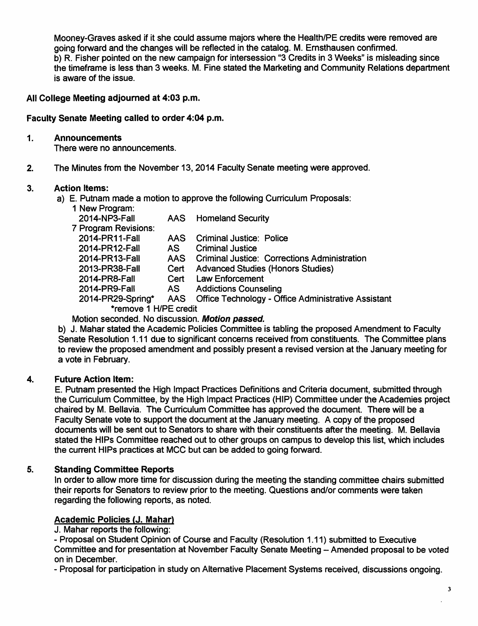Mooney-Graves asked if it she could assume majors where the Health/PE credits were removed are going forward and the changes will be reflected in the catalog. M. Ernsthausen confirmed, b) R. Fisher pointed on the new campaign for intersession "3 Credits in 3 Weeks" is misleading since the timeframe is less than 3 weeks. M. Fine stated the Marketing and Community Relations department is aware of the issue.

### *All College Meeting adjourned at 4:03 p.m.*

#### *Faculty Senate Meeting called to order 4:04 p.m.*

#### *1. Announcements*

There were no announcements.

2. The Minutes from the November 13,2014 Faculty Senate meeting were approved.

#### *3. Action Items:*

- a) E. Putnam made a motion to approve the following Curriculum Proposals:
	- 1 New Program: 2014-NP3-Fall

| AAS. | <b>Homeland Security</b> |
|------|--------------------------|
|------|--------------------------|

7 Program Revisions:

| <u>FIUYIAIII INGVISIUIIS.</u> |     |                                                         |
|-------------------------------|-----|---------------------------------------------------------|
| 2014-PR11-Fall                |     | AAS Criminal Justice: Police                            |
| 2014-PR12-Fall                | AS. | <b>Criminal Justice</b>                                 |
| 2014-PR13-Fall                |     | AAS Criminal Justice: Corrections Administration        |
| 2013-PR38-Fall                |     | Cert Advanced Studies (Honors Studies)                  |
| 2014-PR8-Fall                 |     | Cert Law Enforcement                                    |
| 2014-PR9-Fall                 |     | AS Addictions Counseling                                |
| 2014-PR29-Spring*             |     | AAS Office Technology - Office Administrative Assistant |
| *remove 1 H/PE credit         |     |                                                         |
|                               |     |                                                         |

### Motion seconded. No discussion. *Motion passed.*

b) J. Mahar stated the Academic Policies Committee is tabling the proposed Amendment to Faculty Senate Resolution 1.11 due to significant concerns received from constituents. The Committee plans to review the proposed amendment and possibly present a revised version at the January meeting for a vote in February.

### *4. Future Action Item:*

E. Putnam presented the High Impact Practices Definitions and Criteria document, submitted through the Cuniculum Committee, by the High Impact Practices (HIP) Committee under the Academies project chaired by M. Bellavia. The Curriculum Committee has approved the document. There will be a Faculty Senate vote to support the document at the January meeting. A copy of the proposed documents will be sent out to Senators to share with their constituents after the meeting. M. Bellavia stated the HIPs Committee reached out to other groups on campus to develop this list, which includes the current HIPs practices at MCC but can be added to going forward.

### *5. Standing Committee Reports*

In order to allow more time for discussion during the meeting the standing committee chairs submitted their reports for Senators to review prior to the meeting. Questions and/or comments were taken regarding the following reports, as noted.

### *Academic Policies (J. Mahar)*

J. Mahar reports the following:

- Proposal on Student Opinion of Course and Faculty (Resolution 1.11) submitted to Executive Committee and for presentation at November Faculty Senate Meeting - Amended proposal to be voted on in December.

- Proposal for participation in study on Alternative Placement Systems received, discussions ongoing.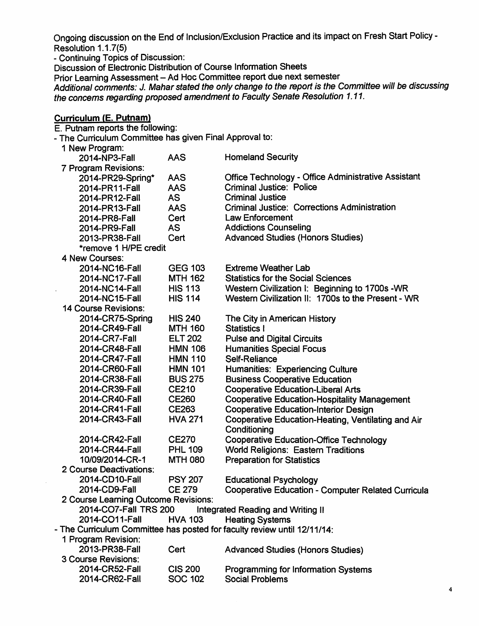Ongoing discussion on the End of Inclusion/Exclusion Practice and its impact on Fresh Start Policy -Resolution 1.1.7(5)

- Continuing Topics of Discussion:

Discussion of Electronic Distribution of Course Information Sheets

Prior Learning Assessment - Ad Hoc Committee report due next semester

**Additional comments: J. Mahar stated the onlychange to the report is the Committee will be discussing the concems regarding proposed amendment to Faculty Senate Resolution 1.11.** 

| <b>Curriculum (E. Putnam)</b>                                            |                |                                                            |  |  |  |  |
|--------------------------------------------------------------------------|----------------|------------------------------------------------------------|--|--|--|--|
| E. Putnam reports the following:                                         |                |                                                            |  |  |  |  |
| - The Curriculum Committee has given Final Approval to:                  |                |                                                            |  |  |  |  |
| 1 New Program:                                                           |                |                                                            |  |  |  |  |
| 2014-NP3-Fall                                                            | <b>AAS</b>     | <b>Homeland Security</b>                                   |  |  |  |  |
| 7 Program Revisions:                                                     |                |                                                            |  |  |  |  |
| 2014-PR29-Spring*                                                        | <b>AAS</b>     | <b>Office Technology - Office Administrative Assistant</b> |  |  |  |  |
| 2014-PR11-Fall                                                           | <b>AAS</b>     | <b>Criminal Justice: Police</b>                            |  |  |  |  |
| 2014-PR12-Fall                                                           | <b>AS</b>      | <b>Criminal Justice</b>                                    |  |  |  |  |
| 2014-PR13-Fall                                                           | AAS            | <b>Criminal Justice: Corrections Administration</b>        |  |  |  |  |
| 2014-PR8-Fall                                                            | Cert           | <b>Law Enforcement</b>                                     |  |  |  |  |
| 2014-PR9-Fall                                                            | <b>AS</b>      | <b>Addictions Counseling</b>                               |  |  |  |  |
| 2013-PR38-Fall                                                           | Cert           | <b>Advanced Studies (Honors Studies)</b>                   |  |  |  |  |
| *remove 1 H/PE credit                                                    |                |                                                            |  |  |  |  |
| 4 New Courses:                                                           |                |                                                            |  |  |  |  |
| 2014-NC16-Fall                                                           | <b>GEG 103</b> | <b>Extreme Weather Lab</b>                                 |  |  |  |  |
| 2014-NC17-Fall                                                           | <b>MTH 162</b> | <b>Statistics for the Social Sciences</b>                  |  |  |  |  |
| 2014-NC14-Fall                                                           | <b>HIS 113</b> | Western Civilization I: Beginning to 1700s - WR            |  |  |  |  |
| 2014-NC15-Fall                                                           | <b>HIS 114</b> | Western Civilization II: 1700s to the Present - WR         |  |  |  |  |
| <b>14 Course Revisions:</b>                                              |                |                                                            |  |  |  |  |
| 2014-CR75-Spring                                                         | <b>HIS 240</b> | The City in American History                               |  |  |  |  |
| 2014-CR49-Fall                                                           | <b>MTH 160</b> | Statistics I                                               |  |  |  |  |
| 2014-CR7-Fall                                                            | <b>ELT 202</b> | <b>Pulse and Digital Circuits</b>                          |  |  |  |  |
| 2014-CR48-Fall                                                           | <b>HMN 106</b> | <b>Humanities Special Focus</b>                            |  |  |  |  |
| 2014-CR47-Fall                                                           | <b>HMN 110</b> | Self-Reliance                                              |  |  |  |  |
| 2014-CR60-Fall                                                           | <b>HMN 101</b> | <b>Humanities: Experiencing Culture</b>                    |  |  |  |  |
| 2014-CR38-Fall                                                           | <b>BUS 275</b> | <b>Business Cooperative Education</b>                      |  |  |  |  |
| 2014-CR39-Fall                                                           | <b>CE210</b>   | <b>Cooperative Education-Liberal Arts</b>                  |  |  |  |  |
| 2014-CR40-Fall                                                           | <b>CE260</b>   | <b>Cooperative Education-Hospitality Management</b>        |  |  |  |  |
| 2014-CR41-Fall                                                           | CE263          | <b>Cooperative Education-Interior Design</b>               |  |  |  |  |
| 2014-CR43-Fall                                                           | <b>HVA 271</b> | Cooperative Education-Heating, Ventilating and Air         |  |  |  |  |
|                                                                          |                | Conditioning                                               |  |  |  |  |
| 2014-CR42-Fall                                                           | <b>CE270</b>   | <b>Cooperative Education-Office Technology</b>             |  |  |  |  |
| 2014-CR44-Fall                                                           | <b>PHL 109</b> | <b>World Religions: Eastern Traditions</b>                 |  |  |  |  |
| 10/09/2014-CR-1                                                          | <b>MTH 080</b> | <b>Preparation for Statistics</b>                          |  |  |  |  |
| 2 Course Deactivations:                                                  |                |                                                            |  |  |  |  |
| 2014-CD10-Fall                                                           | <b>PSY 207</b> | <b>Educational Psychology</b>                              |  |  |  |  |
| 2014-CD9-Fall                                                            | <b>CE 279</b>  | <b>Cooperative Education - Computer Related Curricula</b>  |  |  |  |  |
| 2 Course Learning Outcome Revisions:                                     |                |                                                            |  |  |  |  |
| 2014-CO7-Fall TRS 200                                                    |                | Integrated Reading and Writing II                          |  |  |  |  |
| 2014-CO11-Fall                                                           | <b>HVA 103</b> | <b>Heating Systems</b>                                     |  |  |  |  |
| - The Curriculum Committee has posted for faculty review until 12/11/14: |                |                                                            |  |  |  |  |
| 1 Program Revision:                                                      |                |                                                            |  |  |  |  |
| 2013-PR38-Fall                                                           | Cert           | <b>Advanced Studies (Honors Studies)</b>                   |  |  |  |  |
| 3 Course Revisions:                                                      |                |                                                            |  |  |  |  |
| 2014-CR52-Fall                                                           | <b>CIS 200</b> | <b>Programming for Information Systems</b>                 |  |  |  |  |
| 2014-CR62-Fall                                                           | <b>SOC 102</b> | <b>Social Problems</b>                                     |  |  |  |  |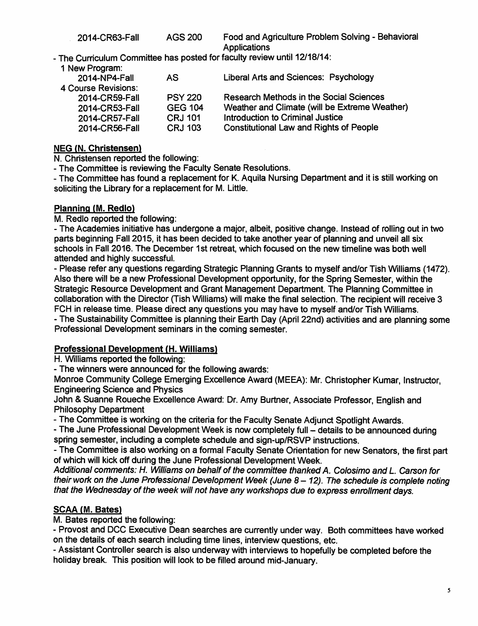- The Curriculum Committee has posted for faculty review until 12/18/14:

1 New Program:

| 2014-NP4-Fall       | AS.            | Liberal Arts and Sciences: Psychology          |
|---------------------|----------------|------------------------------------------------|
| 4 Course Revisions: |                |                                                |
| 2014-CR59-Fall      | <b>PSY 220</b> | <b>Research Methods in the Social Sciences</b> |
| 2014-CR53-Fall      | <b>GEG 104</b> | Weather and Climate (will be Extreme Weather)  |
| 2014-CR57-Fall      | <b>CRJ 101</b> | Introduction to Criminal Justice               |
| 2014-CR56-Fall      | <b>CRJ 103</b> | <b>Constitutional Law and Rights of People</b> |
|                     |                |                                                |

#### *NEG (N. Christensen)*

N. Christensen reported the following:

- The Committee is reviewing the Faculty Senate Resolutions.

- The Committee has found a replacement for K. Aquila Nursing Department and it is still working on soliciting the Library for a replacement for M. Little.

### *Planning (M. Redlo)*

M. Redlo reported the following:

- The Academies initiative has undergone a major, albeit, positive change. Instead of rolling out in two parts beginning Fall 2015, it has been decided to take another year of planning and unveil all six schools in Fall 2016. The December 1st retreat, which focused on the new timeline was both well attended and highly successful.

- Please refer any questions regarding Strategic Planning Grants to myself and/or Tish Williams (1472). Also there will be a new Professional Development opportunity, for the Spring Semester, within the Strategic Resource Development and Grant Management Department. The Planning Committee in collaboration with the Director (Tish Williams) will make the final selection. The recipient will receive 3 FCH in release time. Please direct any questions you may have to myself and/or Tish Williams.

- The Sustainability Committee is planning their Earth Day (April 22nd) activities and are planning some Professional Development seminars in the coming semester.

### *Professional Development (H. Williams)*

H. Williams reported the following:

- The winners were announced for the following awards:

Monroe Community College Emerging Excellence Award (MEEA): Mr. Christopher Kumar, Instructor, Engineering Science and Physics

John & Suanne Roueche Excellence Award: Dr. Amy Burtner, Associate Professor, English and Philosophy Department

- The Committee is working on the criteria for the Faculty Senate Adjunct Spotlight Awards.

- The June Professional Development Week is now completely full - details to be announced during spring semester, including a complete schedule and sign-up/RSVP instructions.

- The Committee is also working on a formal Faculty Senate Orientation for new Senators, the first part of which will kick off during the June Professional Development Week.

**Additional comments: H. Williams on behalf ofthe committee thanked A. Colosimo andL Carson for their** work on the June Professional Development Week (June 8 - 12). The schedule is complete noting that the Wednesday of the week will not have any workshops due to express enrollment days.

# *SCAA (M. Bates)*

M. Bates reported the following:

- Provost and DCC Executive Dean searches are currently under way. Both committees have worked on the details of each search including time lines, interview questions, etc.

- Assistant Controller search is also underway with interviews to hopefully be completed before the holiday break. This position will look to be filled around mid-January.